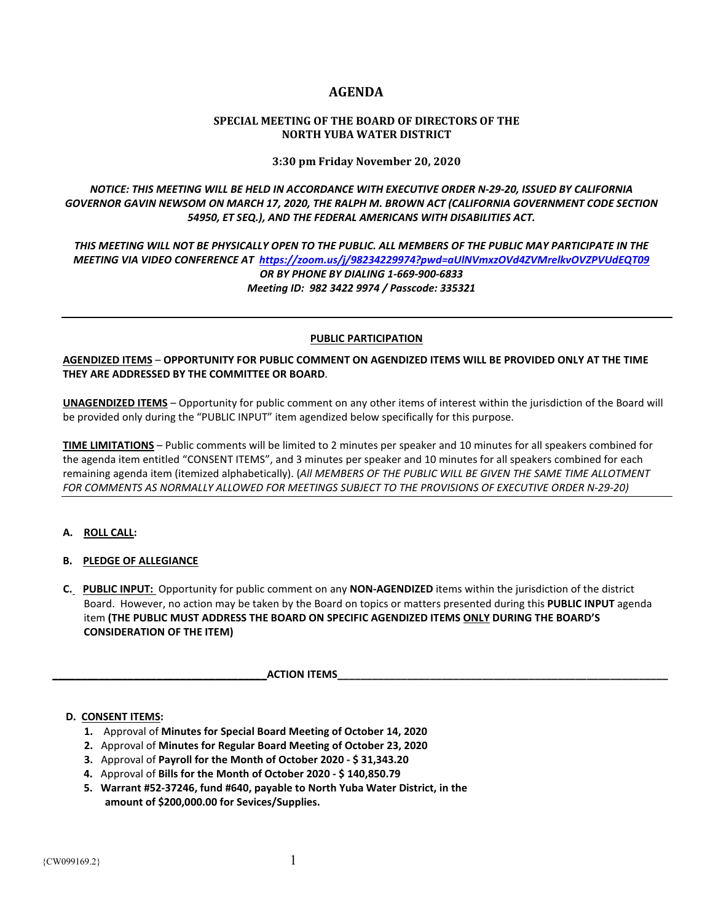# **AGENDA**

## **SPECIAL MEETING OF THE BOARD OF DIRECTORS OF THE NORTH YUBA WATER DISTRICT**

**3:30 pm Friday November 20, 2020**

*NOTICE: THIS MEETING WILL BE HELD IN ACCORDANCE WITH EXECUTIVE ORDER N-29-20, ISSUED BY CALIFORNIA GOVERNOR GAVIN NEWSOM ON MARCH 17, 2020, THE RALPH M. BROWN ACT (CALIFORNIA GOVERNMENT CODE SECTION 54950, ET SEQ.), AND THE FEDERAL AMERICANS WITH DISABILITIES ACT.* 

*THIS MEETING WILL NOT BE PHYSICALLY OPEN TO THE PUBLIC. ALL MEMBERS OF THE PUBLIC MAY PARTICIPATE IN THE MEETING VIA VIDEO CONFERENCE AT <https://zoom.us/j/98234229974?pwd=aUlNVmxzOVd4ZVMrelkvOVZPVUdEQT09> OR BY PHONE BY DIALING 1-669-900-6833 Meeting ID: 982 3422 9974 / Passcode: 335321*

## **PUBLIC PARTICIPATION**

**AGENDIZED ITEMS** – **OPPORTUNITY FOR PUBLIC COMMENT ON AGENDIZED ITEMS WILL BE PROVIDED ONLY AT THE TIME THEY ARE ADDRESSED BY THE COMMITTEE OR BOARD**.

**UNAGENDIZED ITEMS** – Opportunity for public comment on any other items of interest within the jurisdiction of the Board will be provided only during the "PUBLIC INPUT" item agendized below specifically for this purpose.

**TIME LIMITATIONS** – Public comments will be limited to 2 minutes per speaker and 10 minutes for all speakers combined for the agenda item entitled "CONSENT ITEMS", and 3 minutes per speaker and 10 minutes for all speakers combined for each remaining agenda item (itemized alphabetically). (*All MEMBERS OF THE PUBLIC WILL BE GIVEN THE SAME TIME ALLOTMENT FOR COMMENTS AS NORMALLY ALLOWED FOR MEETINGS SUBJECT TO THE PROVISIONS OF EXECUTIVE ORDER N-29-20)*

# **A. ROLL CALL:**

- **B. PLEDGE OF ALLEGIANCE**
- **C. PUBLIC INPUT:** Opportunity for public comment on any **NON-AGENDIZED** items within the jurisdiction of the district Board. However, no action may be taken by the Board on topics or matters presented during this **PUBLIC INPUT** agenda item **(THE PUBLIC MUST ADDRESS THE BOARD ON SPECIFIC AGENDIZED ITEMS ONLY DURING THE BOARD'S CONSIDERATION OF THE ITEM)**

 **\_\_\_\_\_\_\_\_\_\_\_\_\_\_\_\_\_\_\_\_\_\_\_\_\_\_\_\_\_\_\_\_\_\_\_\_\_ACTION ITEMS\_\_\_\_\_\_\_\_\_\_\_\_\_\_\_\_\_\_\_\_\_\_\_\_\_\_\_\_\_\_\_\_\_\_\_\_\_\_\_\_\_\_\_\_\_\_\_\_\_\_\_\_\_\_\_\_\_** 

#### **D. CONSENT ITEMS:**

- **1.** Approval of **Minutes for Special Board Meeting of October 14, 2020**
- **2.** Approval of **Minutes for Regular Board Meeting of October 23, 2020**
- **3.** Approval of **Payroll for the Month of October 2020 - \$ 31,343.20**
- **4.** Approval of **Bills for the Month of October 2020 - \$ 140,850.79**
- **5. Warrant #52-37246, fund #640, payable to North Yuba Water District, in the amount of \$200,000.00 for Sevices/Supplies.**